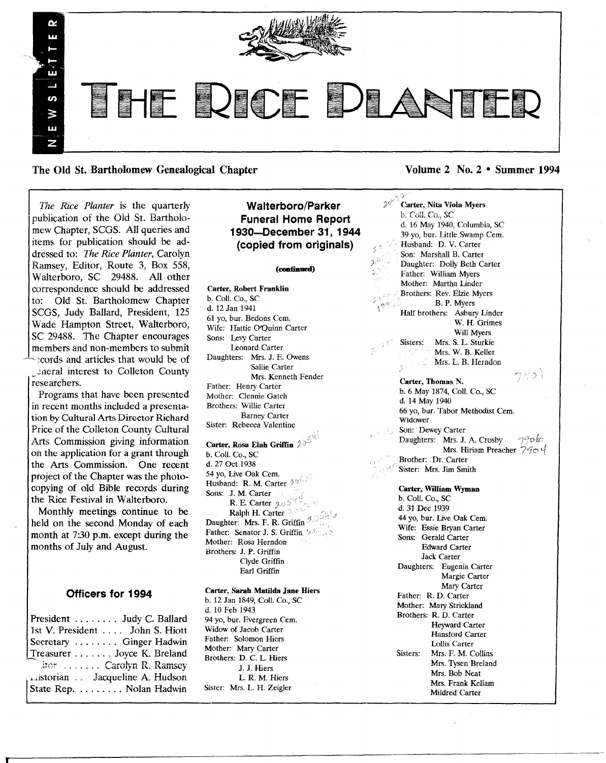

The Old St. Bartholomew Genealogical Chapter Volume 2 No. 2 • Summer 1994

*The Rice Planter* is the quarterly publication of the Old St. Bartholomew Chapter, SCGS. All queries and items for publication should be addressed to: *The Rice Planter,* Carolyn Ramsey, Editor, Route 3, Box 558, Walterboro, SC 29488. All other correspondence should be addressed to: Old St. Bartholomew Chapter SCGS, Judy Ballard, President, 125 Wade Hampton Street, Walterboro, SC 29488. The Chapter encourages members and non-members to submit - )cords and articles that would be of

\_ineral interest to Col1eton County researchers.

Programs that have been presented in recent months included a presentation by Cultural Arts Director Richard Price of the Colleton County Cultural Arts Commission giving information on the application for a grant through the Arts Commission. One recent project of the Chapter was the photocopying of old Bible records during the Rice Festival in Walterboro.

Monthly meetings continue to be held on the second Monday of each month at 7:30 p.m. except during the months of July and August.

# Officers for 1994

| President  Judy C. Ballard                                   |
|--------------------------------------------------------------|
| 1st V. President John S. Hiott                               |
| Secretary  Ginger Hadwin                                     |
| Treasurer Joyce K. Breland                                   |
| $\mathbb{R}$ tor  Carolyn R. Ramsey                          |
|                                                              |
| suistorian . Jacqueline A. Hudson<br>State Rep. Nolan Hadwin |
|                                                              |

# Walterboro/Parker Funeral Home Report 1930-December 31, 1944 (copied from originals)

#### (continued)

 $\mathcal{P}^{\hat{\mathcal{Q}}}$ 

Carter, Robert Franklin b. Call. Co., SC d. 12 Jan 1941 61 yo, bur. Bedons Cern. Wife: Hattie O/Quinn Carter Sons: Levy Carter Leonard Carter Daughters: Mrs. J. E. Owens Sallie Carter Mrs. Kenneth Fender Father: Henry Carter Mother: Clennie Gatch Brothers: Willie Carter Barney Carter Sister: Rebecca Valentine

Carter, Rosa Elah Griffin b. Call. Co., SC d. 27 Oct 1938 54 yo, Live Oak Cern. Husband: R. M. Carter 2050 Sons: J. M. Carter R. E. Carter  $\lambda 0$ <sup>S<sup>8</sup><sup>2</sup></sup> Ralph H. Carter 333 Daughter: Mrs. F. R. Griffin <sup>4.1</sup> Father: Senator J. S. Griffin 's 2. Mother: Rosa Herndon Brothers: J. P. Griffin Clyde Griffin Earl Griffin

#### Carter, Sarah Matilda Jane Hiers

b. 12 Jan 1849, Call. Co., SC d. 10 Feb 1943 94 yo, bur. Evergreen Cem. Widow of Jacob Carter Father: Solomon Hiers Mother: Mary Carter Brothers: D. C. L Hiers J. J. Hiers<br>L. R. M. Hiers Sister: Mrs. L. H. Zeigler

خود Carter, Nita Viola Myers **b.** Coll. Co., SC d. 16 May 1940, Columbia, SC 39 vo. bur. Little Swamp Cem. Husband: D. V. Carter Son: Marshall B. Carter Daughter: Dolly Beth Carter Father: William Myers Mother: Martha Linder Brothers: Rev. Elzie Myers B. P. Myers Half brothers: Asbury Linder W. H. Grimes Will Myers Sisters: Mrs. S. L. Sturkie Mrs. W. B. Keller Mrs. L. B. Herndon 951 Carter, Thomas N. b. 6 May 1874, Call. Co., SC d. 14 May 1940 66 yo, bur. Tabor Methodist Cern. Widower Son: Dewey Carter ngoto Daughters: Mrs. J. A. Crosby Mrs. Hiriam Preacher  $790$ Brother: Dr. Carter Sister: Mrs. Jim Smith Carter, WiUiam Wyman b. Call. Co., SC d. 31 Dec 1939 44 yo, bur. Live Oak Cem. Wife: Essie Bryan Carter Sons: Gerald Carter Edward Carter

Jack Carter Daughters: Eugenia Carter Margie Carter Mary Carter Father: R. D. Carter Mother: *Mary* Strickland Brothers: R. D. Carter Heyward Carter Hansford Carter Lollis Carter Sisters: Mrs. F. M. Collins Mrs. Tysen Breland Mrs. Bob Neat Mrs. Frank Kellam Mildred Carter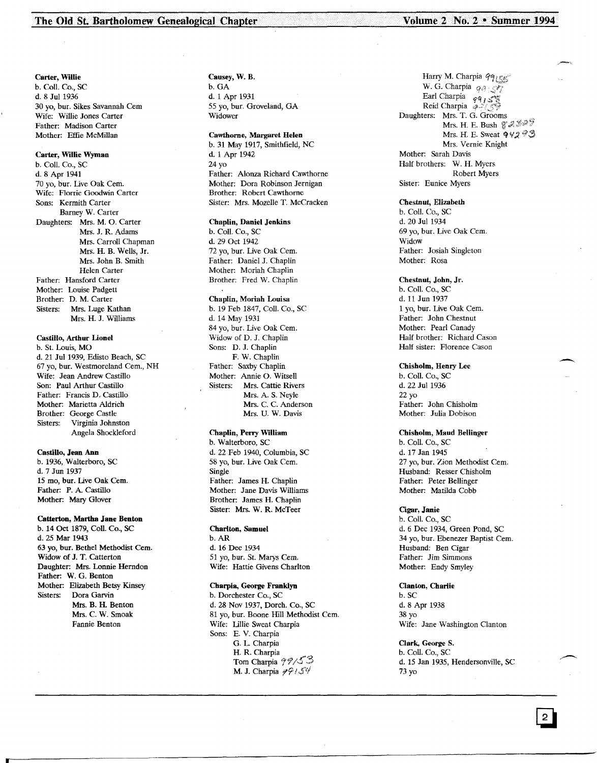#### Carter, Willie

b. Call. Co., SC d. 8 Jul 1936 30 yo, bur. Sikes Savannah Cern Wife: Willie Jones Carter Father: Madison Carter Mother: Effie McMillan

## Carter, Willie Wyman

b. Call. Co., sc d. 8 Apr 1941 70 yo, bur. Live Oak Cern. Wife: Florrie Goodwin Carter Sons: Kermith Carter Barney W. Carter Daughters: Mrs. M. O. Carter Mrs. J. R. Adams Mrs. Carroll Chapman Mrs. H. B. Wells, Jr. Mrs. John B. Smith Helen Carter Father: Hansford Carter Mother: Louise Padgett Brother: D. M. Carter Sisters: Mrs. Luge Kathan Mrs. H. J. Williams

## Castillo, Arthur Lionel

b. St. Louis, MO d. 21 Jul 1939, Edisto Beach, SC 67 yo, bur. Westmoreland Cern., NH Wife: Jean Andrew Castillo Son: Paul Arthur Castillo Father: Francis D. Castillo Mother: Marietta Aldrich Brother: George Castle<br>Sisters: Virginia Johns Virginia Johnston Angela Shockleford

#### Castillo, Jean Ann

b. 1936, Walterboro, SC d. 7 Jun 1937 15 mo, bur. Live Oak Cem. Father: P. A. Castillo Mother: Mary Glover

#### Catterton, Martha Jane Benton

b. 14 Oct 1879, Coli. Co., SC d. 25 Mar 1943 63 yo, bur. Bethel Methodist Cern. Widow of J. T. Catterton Daughter: Mrs. Lonnie Herndon Father: W. G. Benton Mother: Elizabeth Betsy Kinsey Sisters: Dora Garvin Mrs. B. H. Benton Mrs. C. W. Smoak Fannie Benton

Causey, W. B. b.GA d. 1 Apr 1931 55 yo, bur. Groveland, GA Widower

## Cawthorne, Margaret Helen

b. 31 May 1917, Smithfield, NC d. 1 Apr 1942 24 yo Father: Alonza Richard Cawthorne Mother: Dora Robinson Jernigan Brother: Robert Cawthorne Sister: Mrs. Mozelle T. McCracken

#### Chaplin, Daniel Jenkins

b. Call. Co., SC d. 29 Oct 1942 72 yo, bur. Live Oak Cem. Father: Daniel J. Chaplin Mother: Moriah Chaplin Brother: Fred W. Chaplin

#### Chaplin, Moriah Louisa

b. 19 Feb 1847, Call. Co., SC d. 14 May 1931 84 yo, bur. Live Oak Cem. Widow of D. J. Chaplin Sons: D. J. Chaplin F. W. Chaplin Father: Saxby Chaplin Mother: Annie O. Witsell Sisters: Mrs. Cattie Rivers Mrs. A. S. Neyle Mrs. C. C. Anderson Mrs. U. W. Davis

# Chaplin, Perry William

b. Walterboro, SC d. 22 Feb 1940, Columbia, SC 58 yo, bur. Live Oak Cern. Single Father: James H. Chaplin Mother: Jane Davis Williams Brother: James H. Chaplin Sister: Mrs. W. R. McTeer

#### Charlton, Samuel

b.AR d. 16 Dee 1934 51 yo, bur. St. Marys Cem. Wife: Hattie Givens Charlton

### Charpia, George Franklyn

b. Dorchester Co., SC d. 28 Nov 1937, Dorch. Co., SC 81 yo, bur. Boone Hill Methodist Cern. Wife: Lillie Sweat Charpia Sons: E. V. Charpia G. L Charpia H. R. Charpia Tom Charpia  $77/53$ M. J. Charpia  $\mathscr{P}$  / S<sup>ij</sup>

Harry M. Charpia  $qq_1$ es W. G. Charpia  $q_{\mathcal{A}}$ . Earl Charpia  $q \overline{q}$  I Reid Charpia : Daughters: Mrs. T. G. Grooms Mrs. H. E. Bush  $\mathfrak{F} \mathcal{Z} \mathcal{S} \mathcal{P} \mathcal{P}$ Mrs. H. E. Sweat  $942$  ?I. Mrs. Vernie Knight Mother: Sarah Davis Half brothers: W. H. Myers Robert Myers Sister: Eunice Myers

#### Chestnut, Elizabeth

b. Call. Co., SC d. 20 Jul 1934 69 yo, bur. Live Oak Cern. Widow Father: Josiah Singleton Mother: Rosa

#### Chestnut, John, Jr.

b. Call. Co., SC d. 11 Jun 1937 1 yo, bur. Live Oak Cern. Father: John Chestnut Mother: Pearl Canady Half brother: Richard Cason Half sister: Florence Cason

## Chisholm, Henry Lee

b. Call. Co., SC d. 22 Jul 1936 22 yo Father: John Chisholm Mother: Julia Dobison

## Chisholm, Maud Bellinger

b. Call. Co., SC d. 17 Jan 1945 27 yo, bur. Zion Methodist Cem. Husband: Resser Chisholm Father: Peter Bellinger Mother: Matilda Cobb

## Cigar, Janie

b. ColI. Co., SC d. 6 Dee 1934, Green Pond, SC 34 yo, bur. Ebenezer Baptist Cem. Husband: Ben Cigar Father: Jim Simmons Mother: Endy Smyley

#### Qanton, Charlie

b. SC d.8 Apr 1938 38 yo Wife: Jane Washington Clanton

#### Clark, George S.

b. Call. Co., SC d. 15 Jan 1935, Hendersonville, SC 73 yo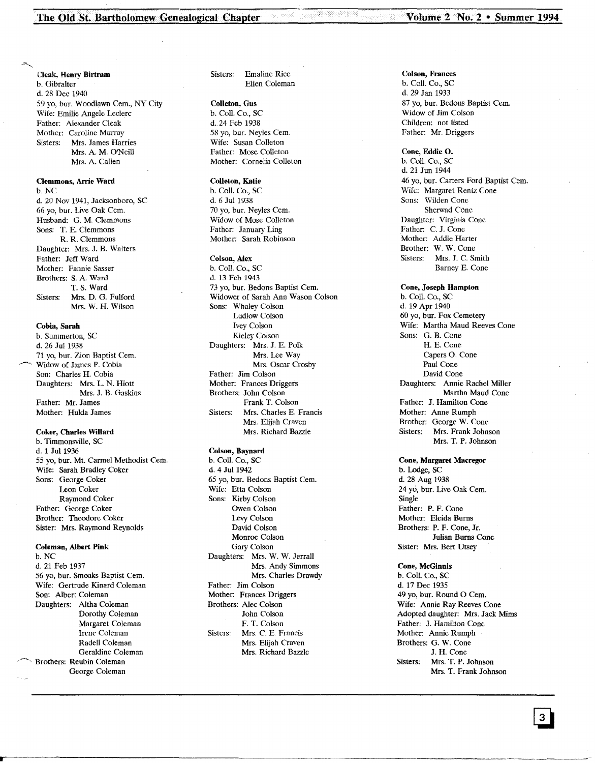Cleak, Henry Birtram b. Gibralter d. 28 Dec 1940 59 yo, bur. Woodlawn Cern., NY City Wife: Emilie Angele Leclerc Father: Alexander Cleak Mother: Caroline Murray<br>Sisters: Mrs. James Har Mrs. James Harries Mrs. A. M. O'Neill Mrs. A. Callen

Clemmons, Arrie Ward b.NC d. 20 Nov 1941, Jacksonboro, SC 66 yo, bur. Live Oak Cem. Husband: G. M. Clemmons Sons: T. E. Clemmons R. R. Clemmons Daughter: Mrs. J. B. Walters Father: Jeff Ward Mother: Fannie Sasser Brothers: S. A. Ward T. S. Ward Sisters: Mrs. D. G. Fulford

Mrs. W. H. Wilson

# Cobia, Sarah

b. Summerton, SC d. 26 Jul 1938 71 yo, bur. Zion Baptist Cem. Widow of James P. Cobia Son: Charles H. Cobia Daughters: Mrs. L N. Hiott Mrs. J. B. Gaskins Father: Mr. James Mother: Hulda James

# Coker, Charles Willard

b. Timmonsville, SC d. 1 Jul 1936 55 yo, bur. Mt. Carmel Methodist Cern. Wife: Sarah Bradley Coker Sons: George Coker Leon Coker Raymond Coker Father: George Coker Brother: Theodore Coker Sister: Mrs. Raymond Reynolds

# Coleman, Albert Pink

b.NC d. 21 Feb 1937 56 yo, bur. Smoaks Baptist Cern. Wife: Gertrude Kinard Coleman Son: Albert Coleman Daughters: Altha Coleman Dorothy Coleman Margaret Coleman Irene Coleman Radell Coleman Geraldine Coleman Brothers: Reubin Coleman George Coleman

Sisters: Emaline Rice Ellen Coleman

# Colleton, Gus

b. Call. Co., SC d.24 Feb 1938 58 yo, bur. Neyles Cem. Wife: Susan Colleton Father: Mose Colleton Mother: Cornelia Colleton

## Colleton, Katie

b. Call. Co., SC d. 6 Jul 1938 70 yo, bur. Neyles Cem. Widow of Mose Colleton Father: January Ling Mother: Sarah Robinson

#### Colson, Alex

b. Call. Co., SC d. 13 Feb 1943 73 yo, bur. Bedons Baptist Cem. Widower of Sarah Ann Wason Colson Sons: Whaley Colson Ludlow Colson Ivey Colson Kieley Colson Daughters: Mrs. J. E. Polk Mrs. Lee Way Mrs. Oscar Crosby Father: Jim Colson Mother: Frances Driggers Brothers: John Colson Frank T. Colson Sisters: Mrs. Charles E. Francis Mrs. Elijah Craven Mrs. Richard Bazzle

#### Colson, Baynard

b. Call. Co., SC d. 4 Jul 1942 65 yo, bur. Bedons Baptist Cern. Wife: Etta Colson Sons: Kirby Colson Owen Colson Levy Colson David Colson Monroe Colson Gary Colson Daughters: Mrs. W. W. Jerrall Mrs. Andy Simmons Mrs. Charles Drawdy Father: Jim Colson Mother: Frances Driggers Brothers: Alec Colson John Colson F. T. Colson Sisters: Mrs. C. E. Francis Mrs. Elijah Craven Mrs. Richard Bazzle

Colson, Frances b. Call. Co., SC d. 29 Jan 1933 87 yo, bur. Bedons Baptist Cem. Widow of Jim Colson Children: not listed Father: Mr. Driggers

Cone, Eddie O. b. Call. Co., SC d. 21 Jun 1944 46 yo, bur. Carters Ford Baptist Cern. Wife: Margaret Rentz Cone Sons: Wilden Cone Sherwad COne Daughter: Virginia Cone Father: C. J. Cone Mother: Addie Harter Brother: W. W. Cone Sisters: Mrs. J. C. Smith Barney E. Cone

Cone, Joseph Hampton b. Call. Co., SC d. 19 Apr 1940 60 yo, bur. Fox Cemetery Wife: Martha Maud Reeves Cone Sons: G. B. Cone H. E. Cone Capers O. Cone Paul Cone David Cone Daughters: Annie Rachel Miller Martha Maud Cone Father: J. Hamilton Cone Mother: Anne Rumph Brother: George W. Cone<br>Sisters: Mrs. Frank John Mrs. Frank Johnson Mrs. T. P. Johnson

Cone, Margaret Macregor b. Lodge, SC d. 28 Aug 1938 24 yo, bur. Live Oak Cem. Single Father: P. F. Cone Mother: Eleida Burns Brothers: P. F. Cone, Jr. Julian Burns Cone Sister: Mrs. Bert Utsey

# Cone, McGinnis

b. Call. Co., SC d. 17 Dee 1935 49 yo, bur. Round O Cem. Wife: Annie Ray Reeves Cone Adopted daughter: Mrs. Jack Mims Father: J. Hamilton Cone Mother: Annie Rumph Brothers: G. W. Cone J. H. Cone Sisters: Mrs. T. P. Johnson Mrs. T. Frank Johnson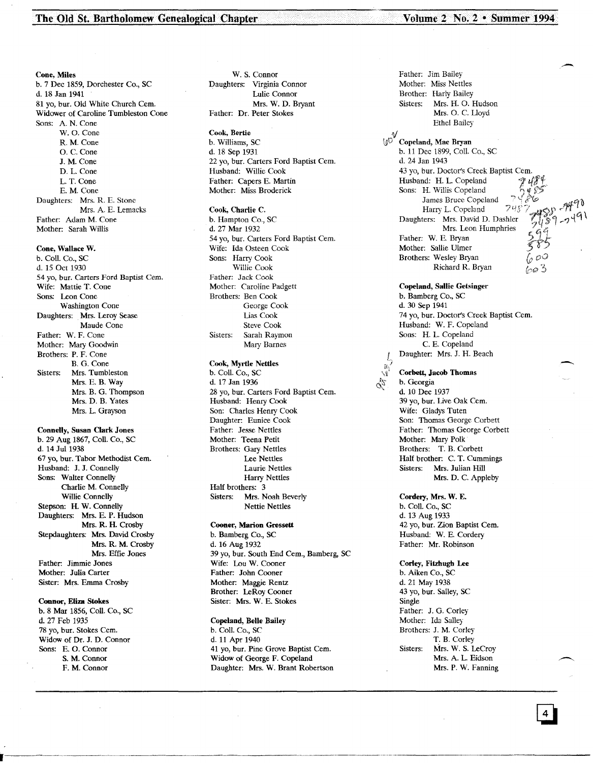The Old St. Bartholomew Genealogical Chapter Volume 2 No. 2 • Summer 1994

Cone, Miles b. 7 Dec 1859, Dorchester Co., SC d. 18 Jan 1941 81 yo, bur. Old White Church Cem. Widower of Caroline Tumbleston Cone Sons: A. N. Cone W. O. Cone R. M. Cone O. C. Cone J. M. Cone D. L. Cone L. T. Cone E. M. Cone Daughters: Mrs. R. E. Stone Mrs. A. E. Lemacks Father: Adam M. Cone Mother: Sarah Willis

# Cone, Wallace W.

b. ColI. Co., SC d. 15 Oct 1930 54 yo, bur. Carters Ford Baptist Cem. Wife: Mattie T. Cone Sons: Leon Cone Washington Cone Daughters: Mrs. Leroy Sease Maude Cone Father: W. F. Cone Mother: Mary Goodwin Brothers: P. F. Cone B. G. Cone Sisters: Mrs. Tumbleston Mrs. E. B. Way Mrs. B. G. Thompson Mrs. D. B. Yates Mrs. L. Grayson

Connelly, Susan Clark Jones b. 29 Aug 1867, ColI. Co., SC d. 14 Jul 1938 67 yo, bur. Tabor Methodist Cern. Husband: J. J. Connelly Sons: Walter Connelly Charlie M. Connelly Willie Connelly Stepson: H. W. Connelly Daughters: Mrs. E. P. Hudson Mrs. R. H. Crosby Stepdaughters: Mrs. David Crosby Mrs. R. M. Crosby Mrs. Effie Jones Father: Jimmie Jones Mother: Julia Carter Sister: Mrs. Emma Crosby

#### Connor, Eliza Stokes

b. 8 Mar 1856, ColI. Co., SC d. 27 Feb 1935 78 yo, bur. Stokes Cern. Widow of Dr. J. D. Connor Sons: E. O. Connor S. M. Connor F. M. Connor

W. S. Connor Daughters: Virginia Connor Lulie Connor Mrs. W. D. Bryant Father: Dr. Peter Stokes

#### Cook, Bertie

b. Williams, SC d. 18 Sep 1931 22 yo, bur. Carters Ford Baptist Cem. Husband: Willie Cook Father: Capers E. Martin Mother: Miss Broderick

#### Cook, Charlie C.

b. Hampton Co., SC d. 27 Mar 1932 54 yo, bur. Carters Ford Baptist Cern. Wife: Ida Osteen Cook Sons: Harry Cook Willie Cook Father: Jack Cook Mother: Caroline Padgett Brothers: Ben Cook George Cook lias Cook Steve Cook Sisters: Sarah Raymon Mary Barnes

## Cook, Myrtle Nettles

b. Coli. Co., SC d. 17 Jan 1936 28 yo, bur. Carters Ford Baptist Cem. Husband: Henry Cook Son: Charles Henry Cook Daughter: Eunice Cook Father: Jesse Nettles Mother: Teena Petit Brothers: Gary Nettles Lee Nettles Laurie Nettles Harry Nettles Half brothers: 3 Sisters: Mrs. Noah Beverly Nettie Nettles

#### Cooner, Marion Gressett

b. Bamberg Co., SC d. 16 Aug 1932 39 yo, bur. South End Cem., Bamberg, SC Wife: Lou W. Cooner Father: John Cooner Mother: Maggie Rentz Brother: LeRoy Cooner Sister: Mrs. W. E. Stokes

Copeland, Belle Bailey b. ColI. Co., SC d. 11 Apr 1940 41 yo, bur. Pine Grove Baptist Cem. Widow of George F. Copeland Daughter: Mrs. W. Brant Robertson

Father: Jim Bailey Mother: Miss Nettles Brother: Harly Bailey Sisters: Mrs. H. O. Hudson Mrs. O. C. Uoyd Ethel Bailey  $v_{\text{dot}}$ \!J'O Copeland, Mae Bryan b. 11 Dee 1899, ColI. Co., SC d. 24 Jan 1943 43 yo, bur. Doctors Creek Baptist Cern. Husband: H. L. Copeland Sons: H. Willis Copeland James Bruce Copeland Harry L. Copeland 745 Daughters: Mrs. David D. Dashler Mrs. Leon Humphries Father: W. E. Bryan Mother: Sallie Ulmer Brothers: Wesley Bryan

Copeland, Sallie Getsinger b. Bamberg Co., SC d. 30 Sep 1941 74 yo, bur. Doctors Creek Baptist Cern. Husband: W. F. Copeland Sons: H. L. Copeland C. E. Copeland Daughter: Mrs. J. H. Beach

Richard R. Bryan

Corbett, Jacob Thomas b. Georgia d. 10 Dee 1937 39 yo, bur. Live Oak Cem. Wife: Gladys Tuten

Son: Thomas George Corbett Father: Thomas George Corbett Mother: Mary Polk Brothers: T. B. Corbett Half brother: C. T. Cummings<br>Sisters: Mrs. Julian Hill Mrs. Julian Hill Mrs. D. C. Appleby

Cordery, Mrs. W. E. b. Coli. Co., SC d. 13 Aug 1933 42 yo, bur. Zion Baptist Cem. Husband: W. E. Cordery Father: Mr. Robinson

Corley, Fitzhugh Lee b. Aiken Co., SC d. 21 May 1938 43 yo, bur. Salley, SC Single Father: J. G. Corley Mother: Ida Salley Brothers: J. M. Corley T. B. Corley Sisters: Mrs. W. S. LeCroy Mrs. A. L. Eidson Mrs. P. W. Fanning -.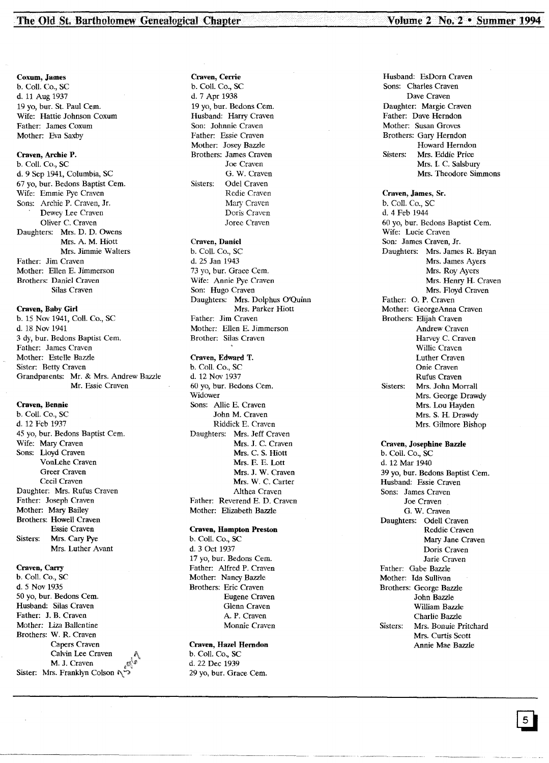## Coxum, James

b. Coil. Co., SC d. 11 Aug 1937 19 yo, bur. St. Paul Cem. Wife: Hattie Johnson Coxum Father: James Coxum Mother: Eva Saxby

# Craven, Archie P.

b. Coil. Co., SC d. 9 Sep 1941, Columbia, SC 67 yo, bur. Bedons Baptist Cem. Wife: Emmie Pye Craven Sons: Archie P. Craven, Jr. Dewey Lee Craven Oliver C. Craven Daughters: Mrs. D. D. Owens Mrs. A. M. Hiott Mrs. Jimmie Walters Father: Jim Craven Mother: Ellen E. Jimmerson Brothers: Daniel Craven Silas Craven

#### Craven, Baby Girl

b. 15 Nov 1941, ColI. Co., SC d. 18 Nov 1941 3 dy, bur. Bedons Baptist Cem. Father: James Craven Mother: Estelle Bazzle Sister: Betty Craven Grandparents: Mr. & Mrs. Andrew Bazzle Mr. Essie Craven

#### Craven, Bennie

b. ColI. Co., SC d. 12 Feb 1937 45 yo, bur. Bedons Baptist Cem. Wife: Mary Craven Sons: Uoyd Craven VonLehe Craven Greer Craven Cecil Craven Daughter: Mrs. Rufus Craven Father: Joseph Craven Mother: Mary Bailey Brothers: Howell Craven Essie Craven Sisters: Mrs. Cary Pye Mrs. Luther Avant

# Craven, Carry

b. Coll. Co., SC d.5 Nov 1935 50 yo, bur. Bedons Cem. Husband: Silas Craven Father: J. B. Craven Mother: liza Ballentine Brothers: W. R. Craven Capers Craven Calvin Lee Craven M. J. Craven Sister: Mrs. Franklyn Colson

# Craven, Cerrie

b. ColI. Co., SC d. 7 Apr 1938 19 yo, bur. Bedons Cern. Husband: Harry Craven Son: Johnnie Craven Father: Essie Craven Mother: Josey Bazzle Brothers: James Craven Joe Craven G. W. Craven Sisters: Odel Craven Redie Craven Mary Craven Doris Craven Joree Craven

# Craven, Daniel

b. Call. Co., SC d. 25 Jan 1943 73 yo, bur. Grace Cem. Wife: Annie Pye Craven Son: Hugo Craven Daughters: Mrs. Dolphus O'Quinn Mrs. Parker Hiott Father: Jim Craven Mother: Ellen E. Jimmerson Brother: Silas Craven

#### Craven, Edward T.

b. Coll. Co., SC d. 12 Nov 1937 60 yo, bur. Bedons Cern. Widower Sons: Allie E. Craven John M. Craven Riddick E. Craven Daughters: Mrs. Jeff Craven Mrs. J. C. Craven Mrs. C. S. Hiott Mrs. E. E. Lott Mrs. J. W. Craven Mrs. W. C. Carter Althea Craven Father: Reverend E. D. Craven Mother: Elizabeth Bazzle

#### Craven, Hampton Preston

b. Coll. Co., SC d. 3 Oct 1937 17 yo, bur. Bedons Cern. Father: Alfred P. Craven Mother: Nancy Bazzle Brothers: Eric Craven Eugene Craven Glenn Craven A. P. Craven Monnie Craven

#### Craven, Hazel Herndon

b. Coll. Co., SC d. 22 Dec 1939 29 yo, bur. Grace Cem. Husband: EsDorn Craven Sons: Charles Craven Dave Craven Daughter: Margie Craven Father: Dave Herndon Mother: Susan Groves Brothers: Gary Herndon Howard Herndon Sisters: Mrs. Eddie Price Mrs. 1. C. Salsbury Mrs. Theodore Simmons

### Craven, James, Sr. b. Call. Co., SC d. 4 Feb 1944 60 yo, bur. Bedons Baptist Cern. Wife: Lucie Craven Son: James Craven, Jr. Daughters: Mrs. James R. Bryan Mrs. James Ayers Mrs. Roy Ayers Mrs. Henry H. Craven Mrs. Floyd Craven Father: O. P. Craven Mother: GeorgeAnna Craven Brothers: Elijah Craven Andrew Craven Harvey C. Craven Willie Craven Luther Craven Onie Craven Rufus Craven Sisters: Mrs. John Morrall Mrs. George Drawdy Mrs. Lou Hayden Mrs. S. H. Drawdy Mrs. Gilmore Bishop

# Craven, Josephine Bazzle

b. Call. Co., SC d. 12 Mar 1940 39 yo, bur. Bedons Baptist Cern. Husband: Essie Craven Sons: James Craven Joe Craven G. W. Craven Daughters: Odell Craven Reddie Craven Mary Jane Craven Doris Craven Jarie Craven Father: Gabe Bazzle Mother: Ida Sullivan Brothers: George Bazzle John Bazzle William Bazzle Charlie Bazzle Sisters: Mrs. Bonuie Pritchard Mrs. Curtis Scott Annie Mae Bazzle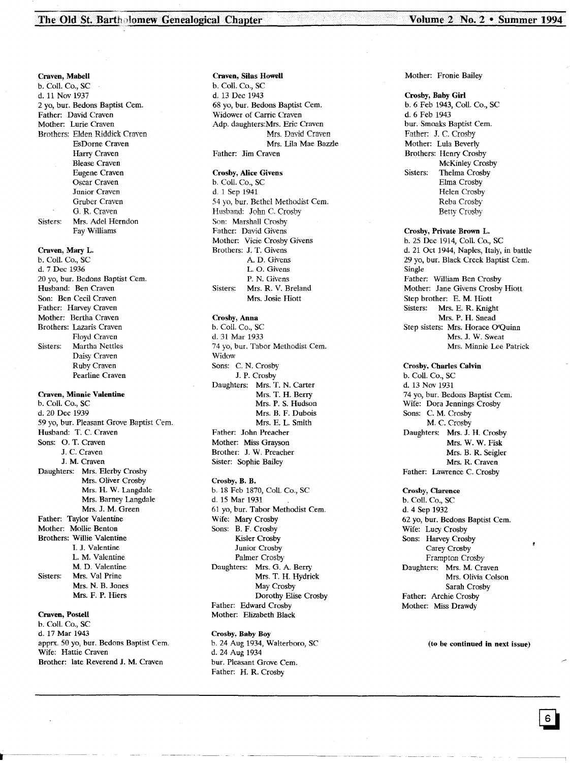Craven, Mabell b. Call. Co., SC d. 11 Nov 1937 2 vo, bur. Bedons Baptist Cem. Father: David Craven Mother: Lurie Craven Brothers: Elden Riddick Craven EsDorne Craven Harry Craven Blease Craven Eugene Craven Oscar Craven Junior Craven Gruber Craven G, R. Craven Sisters: Mrs. Adel Herndon Fay Williams

Craven, Mary L.

b. Call. Co., SC d. 7 Dee 1936 20 yo, bur. Bedons Baptist Cem. Husband: Ben Craven Son: Ben Cecil Craven Father: Harvey Craven Mother: Bertha Craven Brothers: Lazaris Craven Floyd Craven Sisters: Martha Nettles Daisy Craven Ruby Craven Pearline Craven

#### Craven, Minnie Valentine

b. Call. Co., SC d.20 Dee 1939 59 yo, bur. Pleasant Grove Baptist Cern. Husband: T. C. Craven Sons: O. T. Craven J. C. Craven J. M. Craven Daughters: Mrs. Elerby Crosby Mrs. Oliver Crosby Mrs. H. W. Langdale Mrs. Barney Langdale Mrs. J. M. Green Father: Taylor Valentine Mother: Mollie Benton Brothers: Willie Valentine I. J. Valentine L. M. Valentine M. D. Valentine Sisters: Mrs. Val Prine Mrs. N. B. Jones Mrs. F. P. Hiers

# Craven, Postell

b. Call. Co., SC d. 17 Mar 1943 apprx. 50 yo, bur. Bedons Baptist Cern. Wife: Hattie Craven Brother: late Reverend J. M. Craven

#### Craven, Silas Howell

b. Call. Co., SC d. 13 Dec 1943 68 yo, bur. Bedons Baptist Cem. Widower of Carrie Craven Adp. daughters:Mrs. Eric Craven Mrs. David Craven Mrs. Lila Mae Bazzle Father: Jim Craven

#### Crosby, Alice Givens

b. Call. Co., SC d. 1 Sep 1941 54 yo, bur. Bethel Methodist Cern. Husband: John C. Crosby Son: Marshall Crosby Father: David Givens Mother: Vicie Crosby Givens Brothers: J. T. Givens A. D. Givens L. O. Givens P. N. Givens Sisters: Mrs. R. V. Breland Mrs. Josie Hiott

#### Crosby, Anna b. Call. Co., SC

d. 31 Mar 1933 74 yo, bur. Tabor Methodist Cern. Widow Sons: C. N. Crosby J. P. Crosby Daughters: Mrs. T. N. Carter Mrs. T. H. Berry Mrs. P. S. Hudson Mrs. B. F. Dubois Mrs. E. L. Smith Father: John Preacher Mother: Miss Grayson Brother: J. W. Preacher Sister: Sophie Bailey

## Crosby, B. B. b. 18 Feb 1870, Coil. Co., SC d. 15 Mar 1931 61 yo, bur. Tabor Methodist Cem. Wife: Mary Crosby Sons: B. F. Crosby Kisler Crosby

Junior Crosby Palmer Crosby Daughters: Mrs. G. A. Berry Mrs. T. H. Hydrick May Crosby Dorothy Elise Crosby Father: Edward Crosby Mother: Elizabeth Black

#### Crosby, Baby Boy

b. 24 Aug 1934, Walterboro, SC d. 24 Aug 1934 bur. Pleasant Grove Cem. Father: H. R. Crosby

#### Mother: Fronie Bailey

Crosby, Baby Girl b. 6 Feb 1943, Call. Co., SC d. 6 Feb 1943 bur. Smoaks Baptist Cern. Father: J. C. Crosby Mother: Lula Beverly Brothers: Henry Crosby McKinley Crosby Sisters: Thelma Crosby Elrna Crosby Helen Crosby Reba Crosby Betty Crosby

#### Crosby, Private Brown L.

b. 25 Dec 1914, Call. Co., SC d. 21 Oct 1944, Naples, Italy, in battle 29 yo, bur. Black Creek Baptist Cem. Single Father: William Ben Crosby Mother: Jane Givens Crosby Hiott Step brother: E. M. Hiott Sisters: Mrs. E. R. Knight Mrs. P. H. Snead Step sisters: Mrs. Horace O'Quinn Mrs. J. W. Sweat Mrs. Minnie Lee Patrick

### Crosby, Charles Calvin b. Call. Co., SC d. 13 Nov 1931 74 yo, bur. Bedons Baptist Cem. Wife: Dora Jennings Crosby Sons: C. M. Crosby M. C. Crosby Daughters: Mrs. J. H. Crosby Mrs. W. W. Fisk Mrs. B. R. Seigler Mrs. R. Craven Father: Lawrence C. Crosby

#### Crosby, Clarence

b. Call. Co., SC d. 4 Sep 1932 62 yo, bur. Bedons Baptist Cern. Wife: Lucy Crosby Sons: Harvey Crosby Carey Crosby Frampton Crosby Daughters: Mrs. M. Craven Mrs. Olivia Colson Sarah Crosby Father: Archie Crosby Mother: Miss Drawdy

#### (to be continued in next issue)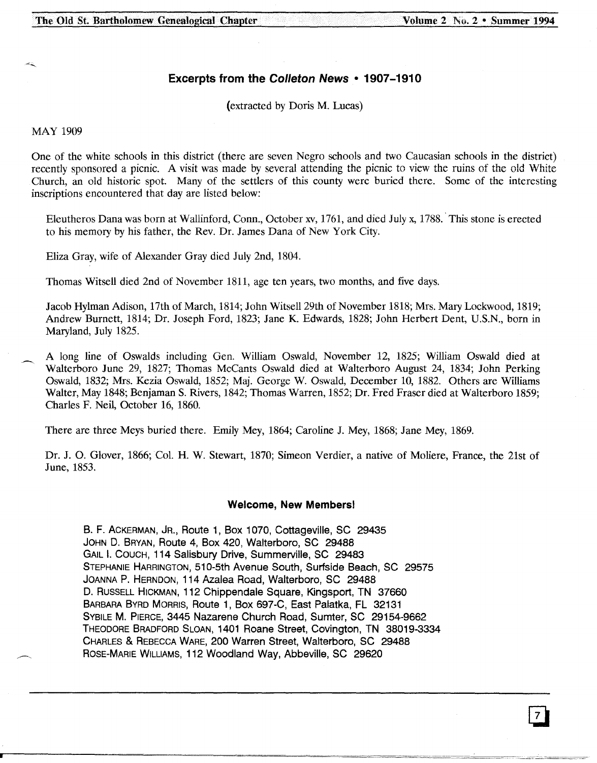# **Excerpts from the Colleton News • 1907-1910**

(extracted by Doris M. Lucas)

MAY 1909

One of the white schools in this district (there are seven Negro schools and two Caucasian schools in the district) recently sponsored a picnic. A visit was made by several attending the picnic to view the ruins of the old White Church, an old historic spot. Many of the settlers of this county were buried there. Some of the interesting inscriptions encountered that day are listed below:

Eleutheros Dana was born at Wallinford, Conn., October xv, 1761, and died July x, 1788.. This stone is erected to his memory by his father, the Rev. Dr. James Dana of New York City.

Eliza Gray, wife of Alexander Gray died July 2nd, 1804.

Thomas Witsell died 2nd of November 1811, age ten years, two months, and five days.

Jacob Hylman Adison, 17th of March, 1814; John Witsell 29th of November 1818; Mrs. Mary Lockwood, 1819; Andrew Burnett, 1814; Dr. Joseph Ford, 1823; Jane K. Edwards, 1828; John Herbert Dent, U.S.N., born in Maryland, July 1825.

A long line of Oswalds including Gen. William Oswald, November 12, 1825; William Oswald died at Walterboro June 29, 1827; Thomas McCants Oswald died at Walterboro August 24, 1834; John Perking Oswald, 1832; Mrs. Kezia Oswald, 1852; Maj. George W. Oswald, December 10, 1882. Others are Williams Walter, May 1848; Benjaman S. Rivers, 1842; Thomas Warren, 1852; Dr. Fred Fraser died at Walterboro 1859; Charles F. Neil, October 16, 1860.

There are three Meys buried there. Emily Mey, 1864; Caroline 1. Mey, 1868; Jane Mey, 1869.

Dr. J. O. Glover, 1866; Col. H. W. Stewart, 1870; Simeon Verdier, a native of Moliere, France, the 21st of June, 1853.

# **Welcome, New Members!**

B. F. ACKERMAN, JR., Route 1, Box 1070, Cottageville, SC 29435 JOHN D. BRYAN, Route 4, Box 420, Walterboro, SC 29488 GAIL I. COUCH, 114 Salisbury Drive, Summerville, SC 29483 STEPHANIE HARRINGTON,510-5th Avenue South, Surfside Beach, SC 29575 JOANNA P. HERNDON, 114 Azalea Road, Walterboro, SC 29488 D. RUSSELL HICKMAN, 112 Chippendale Square, Kingsport, TN 37660 BARBARABYRD MORRIS, Route 1, Box 697-C, East Palatka, FL 32131 SYBILE M. PIERCE, 3445 Nazarene Church Road, Sumter, SC 29154-9662 THEODORE BRADFORD SLOAN, 1401 Roane Street, Covington, TN 38019-3334 CHARLES & REBECCAWARE, 200 Warren Street, Walterboro, SC 29488 ROSE-MARIE WILLIAMS, 112 Woodland Way, Abbeville, SC 29620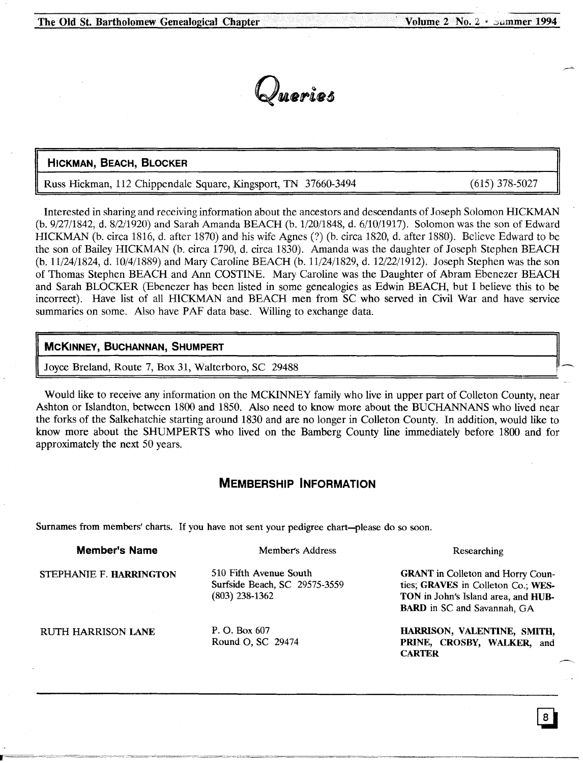

# HICKMAN, BEACH, BLOCKER

Russ Hickman, 112 Chippendale Square, Kingsport, TN 37660-3494

(615) 378-5027

Interested in sharing and receiving information about the ancestors and descendants of Joseph Solomon HICKMAN (b. 9/27/1842, d. 8/2/1920) and Sarah Amanda BEACH (b. 1/20/1848, d. 6/10/1917). Solomon was the son of Edward HICKMAN (b. circa 1816, d. after 1870) and his wife Agnes (?) (b. circa 1820, d. after 1880). Believe Edward to be the son of Bailey HICKMAN (b. circa 1790, d. circa 1830). Amanda was the daughter of Joseph Stephen BEACH (b. 11/24/1824, d. 10/4/1889) and Mary Caroline BEACH (b. 11/24/1829, d. 12/22/1912). Joseph Stephen was the son of Thomas Stephen BEACH and Ann COSTINE. Mary Caroline was the Daughter of Abram Ebenezer BEACH and Sarah BLOCKER (Ebenezer has been listed in some genealogies as Edwin BEACH, but I believe this to be incorrect). Have list of all HICKMAN and BEACH men from SC who served in Civil War and have service summaries on some. Also have PAF data base. Willing to exchange data.

# McKINNEY, BUCHANNAN, SHUMPERT

Joyce Breland, Route 7, Box 31, Walterboro, SC 29488

Would like to receive any information on the MCKINNEY family who live in upper part of Colleton County, near Ashton or Islandton, between 1800 and 1850. Also need to know more about the BUCHANNANS who lived near the forks of the Salkehatchie starting around 1830 and are no longer in Colleton County. In addition, would like to know more about the SHUMPERTS who lived on the Bamberg County line immediately before 1800 and for approximately the next 50 years.

# MEMBERSHIP INFORMATION

Surnames from members' charts. If you have not sent your pedigree chart-please do so soon.

| <b>Member's Name</b>    | Member's Address                                                            | Researching                                                                                                                                                 |
|-------------------------|-----------------------------------------------------------------------------|-------------------------------------------------------------------------------------------------------------------------------------------------------------|
| STEPHANIE F. HARRINGTON | 510 Fifth Avenue South<br>Surfside Beach, SC 29575-3559<br>$(803)$ 238-1362 | <b>GRANT</b> in Colleton and Horry Coun-<br>ties; GRAVES in Colleton Co.; WES-<br>TON in John's Island area, and HUB-<br><b>BARD</b> in SC and Savannah, GA |
| RUTH HARRISON LANE      | P. O. Box 607<br>Round O, SC 29474                                          | HARRISON, VALENTINE, SMITH,<br>PRINE, CROSBY, WALKER, and<br><b>CARTER</b>                                                                                  |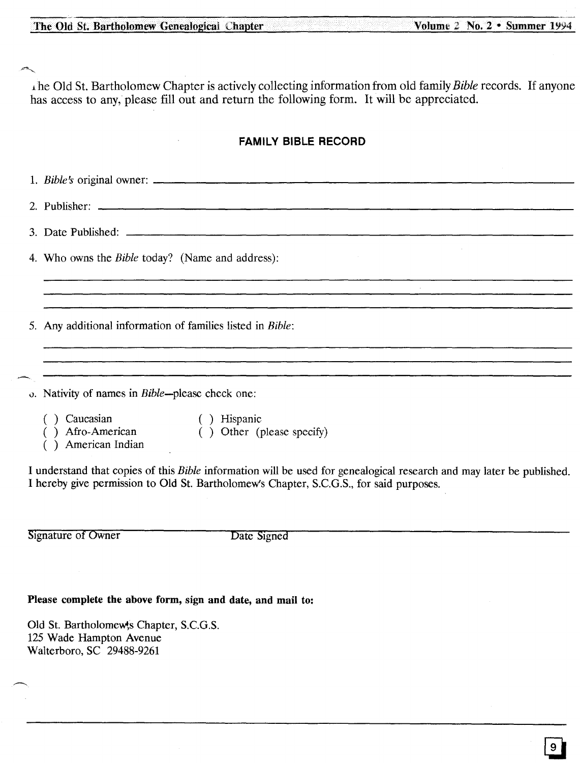~

l.he Old 51.Bartholomew Chapter is actively collecting information from old family *Bible* records. If anyone has access to any, please fill out and return the following form. It will be appreciated.

# **FAMILY BIBLE RECORD**

1. *Bible's* original owner: \_ 2. Publisher: 3. Date Published: 4. Who owns the *Bible* today? (Name and address): 5. Any additional information of families listed in *Bible:* <u> 1980 - André Amerikaanse komme van die die verskillige van die verskillige van die verskillige van die verskil</u> o. Nativity of names in Bible-please check one: ( ) Caucasian ( ) Hispanic ( ) Afro-American ( ) Other (please specify) ) American Indian I understand that copies of this *Bible* information will be used for genealogical research and may later be published. I hereby give permission to Old St. Bartholomew's Chapter, S.c.G.S., for said purposes.

Signature of Owner Date Signed

# Please complete the above form, sign and date, and mail to:

Old St. Bartholomew's Chapter, S.C.G.S. 125 Wade Hampton Avenue Walterboro, SC 29488-9261